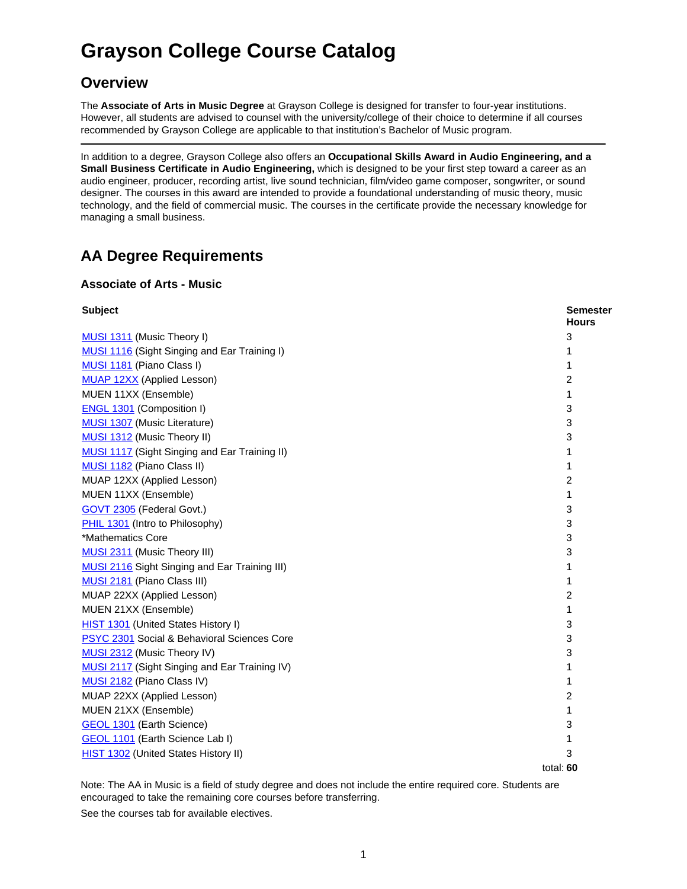# **Grayson College Course Catalog**

## **Overview**

The **Associate of Arts in Music Degree** at Grayson College is designed for transfer to four-year institutions. However, all students are advised to counsel with the university/college of their choice to determine if all courses recommended by Grayson College are applicable to that institution's Bachelor of Music program.

In addition to a degree, Grayson College also offers an **Occupational Skills Award in Audio Engineering, and a Small Business Certificate in Audio Engineering,** which is designed to be your first step toward a career as an audio engineer, producer, recording artist, live sound technician, film/video game composer, songwriter, or sound designer. The courses in this award are intended to provide a foundational understanding of music theory, music technology, and the field of commercial music. The courses in the certificate provide the necessary knowledge for managing a small business.

# **AA Degree Requirements**

#### **Associate of Arts - Music**

| <b>Subject</b>                                       | <b>Semester</b><br><b>Hours</b> |
|------------------------------------------------------|---------------------------------|
| MUSI 1311 (Music Theory I)                           | 3                               |
| <b>MUSI 1116 (Sight Singing and Ear Training I)</b>  |                                 |
| MUSI 1181 (Piano Class I)                            | 1                               |
| <b>MUAP 12XX</b> (Applied Lesson)                    | 2                               |
| MUEN 11XX (Ensemble)                                 | 1                               |
| <b>ENGL 1301 (Composition I)</b>                     | 3                               |
| <b>MUSI 1307</b> (Music Literature)                  | 3                               |
| MUSI 1312 (Music Theory II)                          | 3                               |
| <b>MUSI 1117</b> (Sight Singing and Ear Training II) | 1                               |
| MUSI 1182 (Piano Class II)                           | 1                               |
| MUAP 12XX (Applied Lesson)                           | 2                               |
| MUEN 11XX (Ensemble)                                 | 1                               |
| GOVT 2305 (Federal Govt.)                            | 3                               |
| PHIL 1301 (Intro to Philosophy)                      | 3                               |
| *Mathematics Core                                    | 3                               |
| MUSI 2311 (Music Theory III)                         | 3                               |
| <b>MUSI 2116</b> Sight Singing and Ear Training III) | 1                               |
| MUSI 2181 (Piano Class III)                          | 1                               |
| MUAP 22XX (Applied Lesson)                           | 2                               |
| MUEN 21XX (Ensemble)                                 | 1                               |
| HIST 1301 (United States History I)                  | 3                               |
| PSYC 2301 Social & Behavioral Sciences Core          | 3                               |
| MUSI 2312 (Music Theory IV)                          | 3                               |
| MUSI 2117 (Sight Singing and Ear Training IV)        | 1                               |
| MUSI 2182 (Piano Class IV)                           | 1                               |
| MUAP 22XX (Applied Lesson)                           | 2                               |
| MUEN 21XX (Ensemble)                                 | 1                               |
| <b>GEOL 1301</b> (Earth Science)                     | 3                               |
| <b>GEOL 1101</b> (Earth Science Lab I)               | 1                               |
| <b>HIST 1302</b> (United States History II)          | 3                               |
|                                                      | total: 60                       |

Note: The AA in Music is a field of study degree and does not include the entire required core. Students are encouraged to take the remaining core courses before transferring.

See the courses tab for available electives.